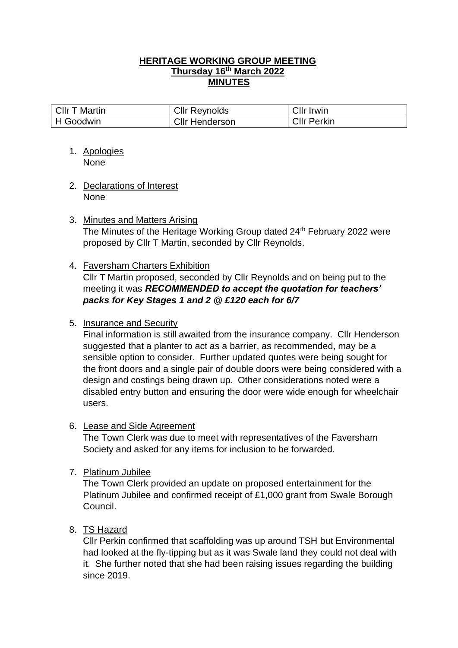## **HERITAGE WORKING GROUP MEETING Thursday 16th March 2022 MINUTES**

| Cllr T Martin | <b>Cllr Reynolds</b> | <b>Cllr Irwin</b>  |
|---------------|----------------------|--------------------|
| H Goodwin     | Cllr Henderson       | <b>CIIr Perkin</b> |

- 1. Apologies None
- 2. Declarations of Interest None
- 3. Minutes and Matters Arising The Minutes of the Heritage Working Group dated 24<sup>th</sup> February 2022 were proposed by Cllr T Martin, seconded by Cllr Reynolds.
- 4. Faversham Charters Exhibition

Cllr T Martin proposed, seconded by Cllr Reynolds and on being put to the meeting it was *RECOMMENDED to accept the quotation for teachers' packs for Key Stages 1 and 2 @ £120 each for 6/7*

## 5. Insurance and Security

Final information is still awaited from the insurance company. Cllr Henderson suggested that a planter to act as a barrier, as recommended, may be a sensible option to consider. Further updated quotes were being sought for the front doors and a single pair of double doors were being considered with a design and costings being drawn up. Other considerations noted were a disabled entry button and ensuring the door were wide enough for wheelchair users.

## 6. Lease and Side Agreement

The Town Clerk was due to meet with representatives of the Faversham Society and asked for any items for inclusion to be forwarded.

7. Platinum Jubilee

The Town Clerk provided an update on proposed entertainment for the Platinum Jubilee and confirmed receipt of £1,000 grant from Swale Borough Council.

8. TS Hazard

Cllr Perkin confirmed that scaffolding was up around TSH but Environmental had looked at the fly-tipping but as it was Swale land they could not deal with it. She further noted that she had been raising issues regarding the building since 2019.